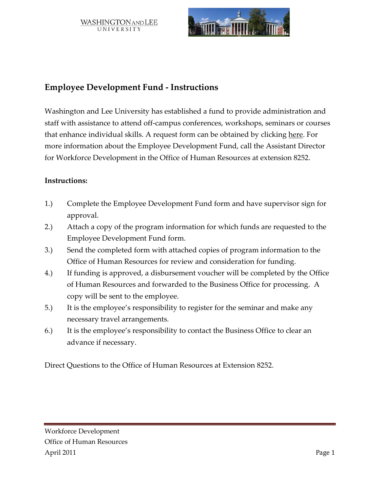WASHINGTON AND LEE UNIVERSITY



# **Employee Development Fund - Instructions**

Washington and Lee University has established a fund to provide administration and staff with assistance to attend off-campus conferences, workshops, seminars or courses that enhance individual skills. A request form can be obtained by clicking here. For more information about the Employee Development Fund, call the Assistant Director for Workforce Development in the Office of Human Resources at extension 8252.

### **Instructions:**

- 1.) Complete the Employee Development Fund form and have supervisor sign for approval.
- 2.) Attach a copy of the program information for which funds are requested to the Employee Development Fund form.
- 3.) Send the completed form with attached copies of program information to the Office of Human Resources for review and consideration for funding.
- 4.) If funding is approved, a disbursement voucher will be completed by the Office of Human Resources and forwarded to the Business Office for processing. A copy will be sent to the employee.
- 5.) It is the employee's responsibility to register for the seminar and make any necessary travel arrangements.
- 6.) It is the employee's responsibility to contact the Business Office to clear an advance if necessary.

Direct Questions to the Office of Human Resources at Extension 8252.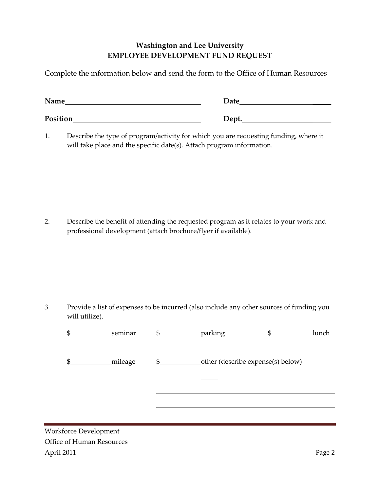## **Washington and Lee University EMPLOYEE DEVELOPMENT FUND REQUEST**

Complete the information below and send the form to the Office of Human Resources

| Name     | Date  |
|----------|-------|
| Position | Dept. |

1. Describe the type of program/activity for which you are requesting funding, where it will take place and the specific date(s). Attach program information.

2. Describe the benefit of attending the requested program as it relates to your work and professional development (attach brochure/flyer if available).

3. Provide a list of expenses to be incurred (also include any other sources of funding you will utilize).

| Տ  | seminar | \$<br>parking |                                   | lunch |
|----|---------|---------------|-----------------------------------|-------|
| \$ | mileage | \$            | other (describe expense(s) below) |       |
|    |         |               |                                   |       |
|    |         |               |                                   |       |

Workforce Development Office of Human Resources April 2011 Page 2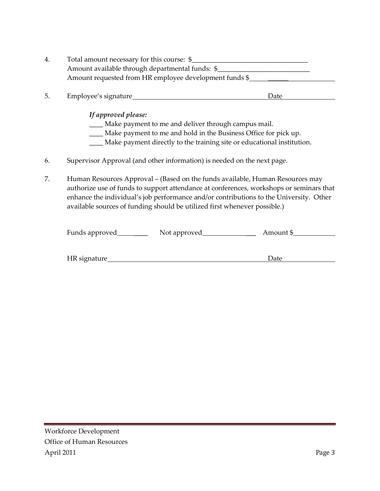| 4. | Total amount necessary for this course: \$             |
|----|--------------------------------------------------------|
|    | Amount available through departmental funds: \$        |
|    | Amount requested from HR employee development funds \$ |

5. Employee's signature Date

*If approved please:*

\_\_\_\_ Make payment to me and deliver through campus mail.

- \_\_\_\_ Make payment to me and hold in the Business Office for pick up.
- \_\_\_\_ Make payment directly to the training site or educational institution.
- 6. Supervisor Approval (and other information) is needed on the next page.
- 7. Human Resources Approval (Based on the funds available, Human Resources may authorize use of funds to support attendance at conferences, workshops or seminars that enhance the individual's job performance and/or contributions to the University. Other available sources of funding should be utilized first whenever possible.)

| Funds approved | Not approved | Amount \$ |
|----------------|--------------|-----------|
|                |              |           |

| HR signature | Jate |  |
|--------------|------|--|
|              |      |  |